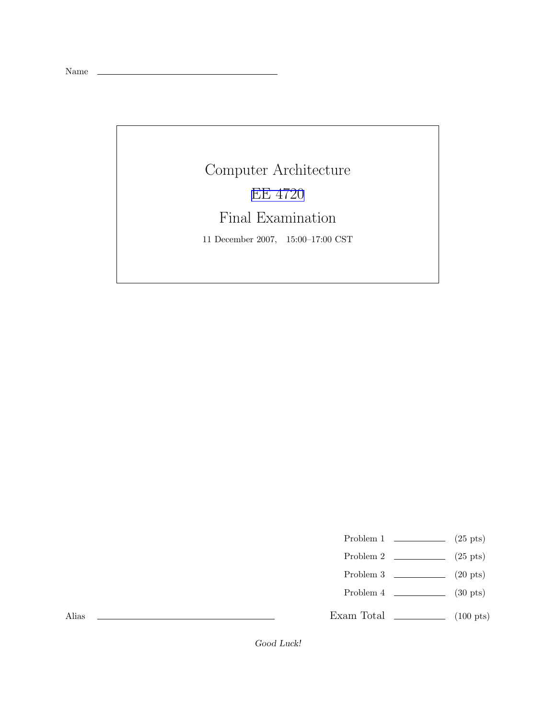Name

## Computer Architecture EE [4720](http://www.ece.lsu.edu/ee4720/) Final Examination 11 December 2007, 15:00–17:00 CST

- Problem 1  $\qquad \qquad$  (25 pts)
- Problem 2  $\qquad \qquad$  (25 pts)
- Problem 3  $\qquad \qquad$  (20 pts)
- Problem 4  $\sim$  (30 pts)

Exam Total  $\qquad \qquad$  (100 pts)

Alias

Good Luck!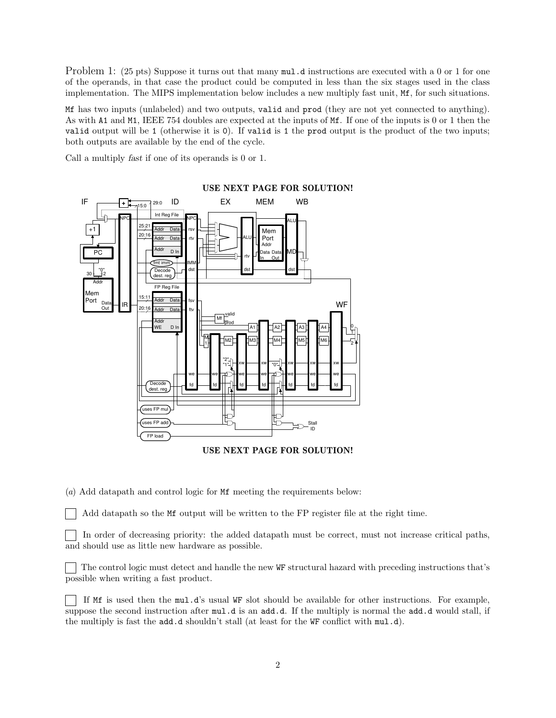Problem 1: (25 pts) Suppose it turns out that many  $mul.d$  instructions are executed with a 0 or 1 for one of the operands, in that case the product could be computed in less than the six stages used in the class implementation. The MIPS implementation below includes a new multiply fast unit, Mf, for such situations.

Mf has two inputs (unlabeled) and two outputs, valid and prod (they are not yet connected to anything). As with A1 and M1, IEEE 754 doubles are expected at the inputs of Mf. If one of the inputs is 0 or 1 then the valid output will be 1 (otherwise it is 0). If valid is 1 the prod output is the product of the two inputs; both outputs are available by the end of the cycle.

Call a multiply fast if one of its operands is 0 or 1.



USE NEXT PAGE FOR SOLUTION!

(a) Add datapath and control logic for Mf meeting the requirements below:

Add datapath so the Mf output will be written to the FP register file at the right time.

In order of decreasing priority: the added datapath must be correct, must not increase critical paths, and should use as little new hardware as possible.

The control logic must detect and handle the new WF structural hazard with preceding instructions that's possible when writing a fast product.

If Mf is used then the mul.d's usual WF slot should be available for other instructions. For example, suppose the second instruction after  $mul.d$  is an add.d. If the multiply is normal the add.d would stall, if the multiply is fast the add.d shouldn't stall (at least for the WF conflict with mul.d).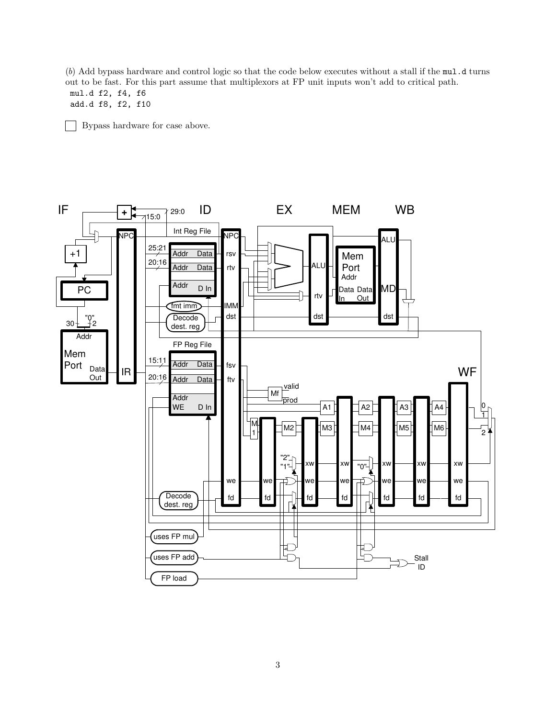(b) Add bypass hardware and control logic so that the code below executes without a stall if the mul.d turns out to be fast. For this part assume that multiplexors at FP unit inputs won't add to critical path. mul.d f2, f4, f6

add.d f8, f2, f10

Bypass hardware for case above.  $\sim$ 



3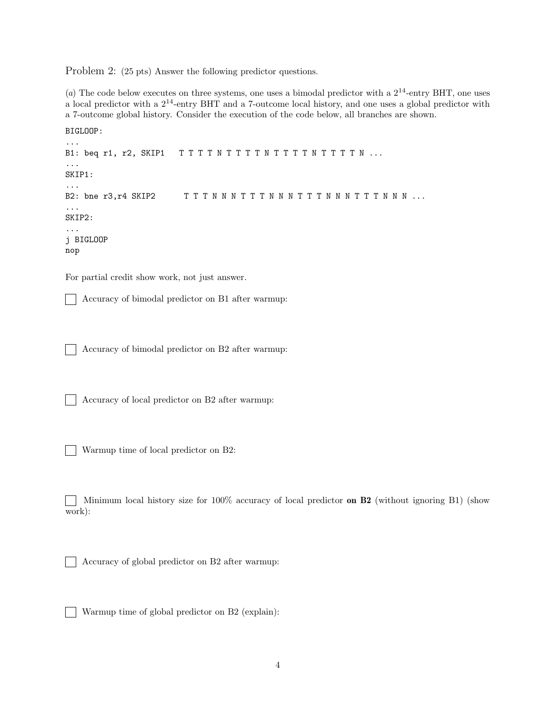Problem 2: (25 pts) Answer the following predictor questions.

(a) The code below executes on three systems, one uses a bimodal predictor with a  $2^{14}$ -entry BHT, one uses a local predictor with a  $2^{14}$ -entry BHT and a 7-outcome local history, and one uses a global predictor with a 7-outcome global history. Consider the execution of the code below, all branches are shown.

```
BIGLOOP:
...
B1: beq r1, r2, SKIP1 TTTTNTTTTNTTTTNTTTN...
...
SKIP1:
...
B2: bne r3, r4 SKIP2 T T T N N N T T T N N N N T T T N N N N N ...
...
SKIP2:
...
j BIGLOOP
nop
```
For partial credit show work, not just answer.

 $\mathbf{I}$ Accuracy of bimodal predictor on B1 after warmup:

Accuracy of bimodal predictor on B2 after warmup:

Accuracy of local predictor on B2 after warmup:

Warmup time of local predictor on B2:

 $\mathbf{I}$ 

Minimum local history size for 100% accuracy of local predictor on  $B2$  (without ignoring B1) (show work):

Accuracy of global predictor on B2 after warmup:

Warmup time of global predictor on B2 (explain):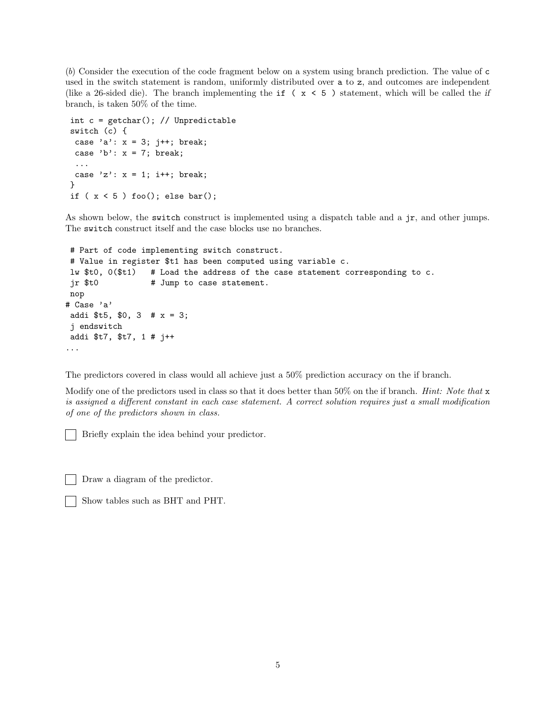(b) Consider the execution of the code fragment below on a system using branch prediction. The value of c used in the switch statement is random, uniformly distributed over a to z, and outcomes are independent (like a 26-sided die). The branch implementing the if ( $x < 5$ ) statement, which will be called the if branch, is taken 50% of the time.

```
int c = getchar(); // Unpredictable
switch (c) {
 case 'a': x = 3; j++; break;
 case 'b': x = 7; break;
 ...
 case 'z': x = 1; i++; break;
}
if (x < 5) foo(); else bar();
```
As shown below, the switch construct is implemented using a dispatch table and a jr, and other jumps. The switch construct itself and the case blocks use no branches.

```
# Part of code implementing switch construct.
# Value in register $t1 has been computed using variable c.
lw $t0, 0($t1) # Load the address of the case statement corresponding to c.
 jr $t0 # Jump to case statement.
nop
# Case 'a'
addi t5, $0, 3 # x = 3;j endswitch
addi $t7, $t7, 1 # j++
...
```
The predictors covered in class would all achieve just a 50% prediction accuracy on the if branch.

Modify one of the predictors used in class so that it does better than 50% on the if branch. *Hint: Note that* x is assigned a different constant in each case statement. A correct solution requires just a small modification of one of the predictors shown in class.

Briefly explain the idea behind your predictor.

Draw a diagram of the predictor.

Show tables such as BHT and PHT.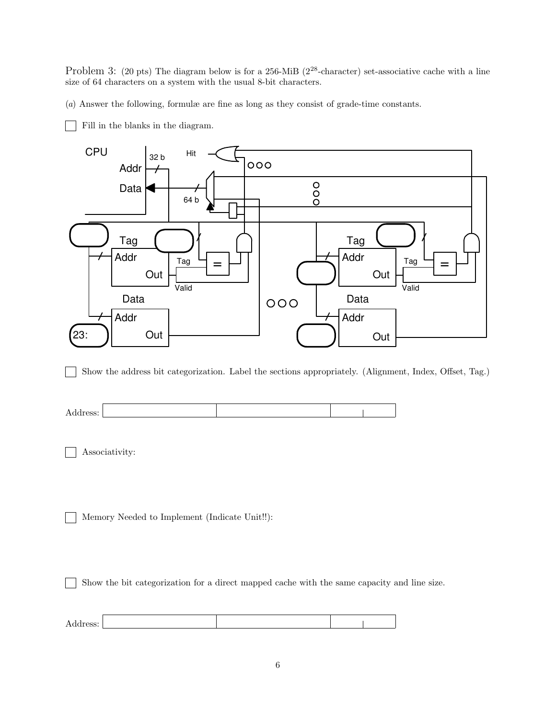Problem 3: (20 pts) The diagram below is for a 256-MiB (2<sup>28</sup>-character) set-associative cache with a line size of 64 characters on a system with the usual 8-bit characters.

(a) Answer the following, formulæ are fine as long as they consist of grade-time constants.

Fill in the blanks in the diagram.



Show the address bit categorization. Label the sections appropriately. (Alignment, Index, Offset, Tag.)

| д<br>. |  |
|--------|--|
|--------|--|

Associativity:

Memory Needed to Implement (Indicate Unit!!):

Show the bit categorization for a direct mapped cache with the same capacity and line size.

| Address: |  |  |
|----------|--|--|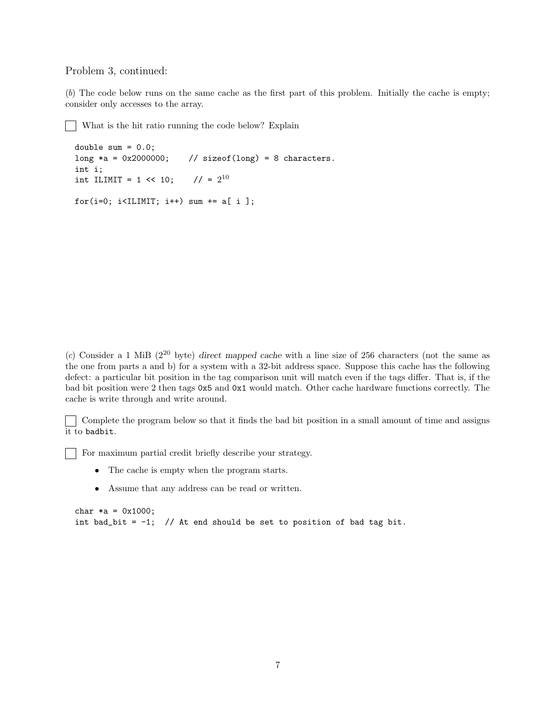## Problem 3, continued:

 $\overline{\phantom{a}}$ 

(b) The code below runs on the same cache as the first part of this problem. Initially the cache is empty; consider only accesses to the array.

What is the hit ratio running the code below? Explain

```
double sum = 0.0;
long *a = 0x2000000; // sizeof(long) = 8 characters.
int i;
int ILIMIT = 1 \leq 10;
                         1/ = 2^{10}for(i=0; i<ILIMIT; i++) sum += a[ i ];
```
(c) Consider a 1 MiB ( $2^{20}$  byte) direct mapped cache with a line size of 256 characters (not the same as the one from parts a and b) for a system with a 32-bit address space. Suppose this cache has the following defect: a particular bit position in the tag comparison unit will match even if the tags differ. That is, if the bad bit position were 2 then tags 0x5 and 0x1 would match. Other cache hardware functions correctly. The cache is write through and write around.

Complete the program below so that it finds the bad bit position in a small amount of time and assigns  $\vert \ \ \vert$ it to badbit.

For maximum partial credit briefly describe your strategy.

- The cache is empty when the program starts.
- Assume that any address can be read or written.

```
char *a = 0x1000;int bad_bit = -1; // At end should be set to position of bad tag bit.
```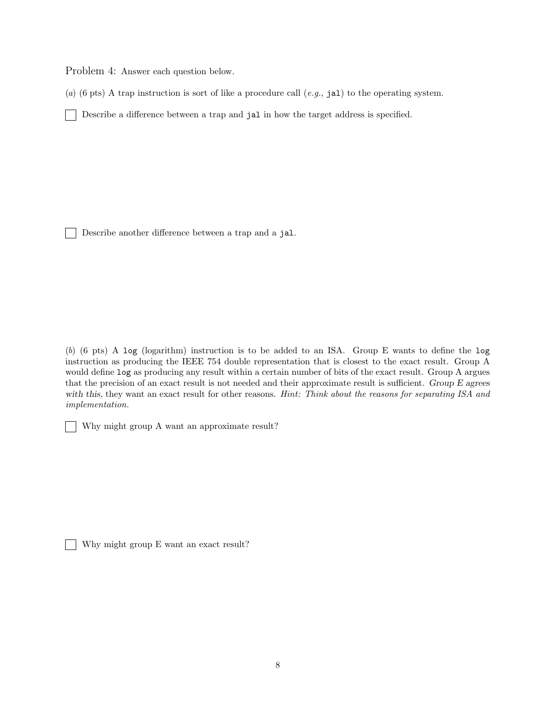Problem 4: Answer each question below.

(a) (6 pts) A trap instruction is sort of like a procedure call  $(e.g., jal)$  to the operating system.

Describe a difference between a trap and jal in how the target address is specified.  $\mathbf{L}$ 

Describe another difference between a trap and a jal.

(b) (6 pts) A log (logarithm) instruction is to be added to an ISA. Group E wants to define the log instruction as producing the IEEE 754 double representation that is closest to the exact result. Group A would define log as producing any result within a certain number of bits of the exact result. Group A argues that the precision of an exact result is not needed and their approximate result is sufficient. Group E agrees with this, they want an exact result for other reasons. Hint: Think about the reasons for separating ISA and implementation.

Why might group A want an approximate result?

Why might group E want an exact result?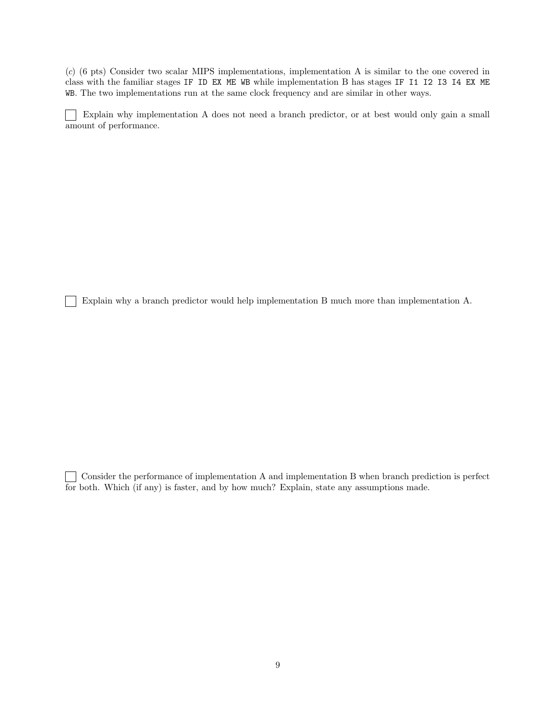(c) (6 pts) Consider two scalar MIPS implementations, implementation A is similar to the one covered in class with the familiar stages IF ID EX ME WB while implementation B has stages IF I1 I2 I3 I4 EX ME WB. The two implementations run at the same clock frequency and are similar in other ways.

 $\Box$ Explain why implementation A does not need a branch predictor, or at best would only gain a small amount of performance.

Explain why a branch predictor would help implementation B much more than implementation A.

Consider the performance of implementation A and implementation B when branch prediction is perfect for both. Which (if any) is faster, and by how much? Explain, state any assumptions made.